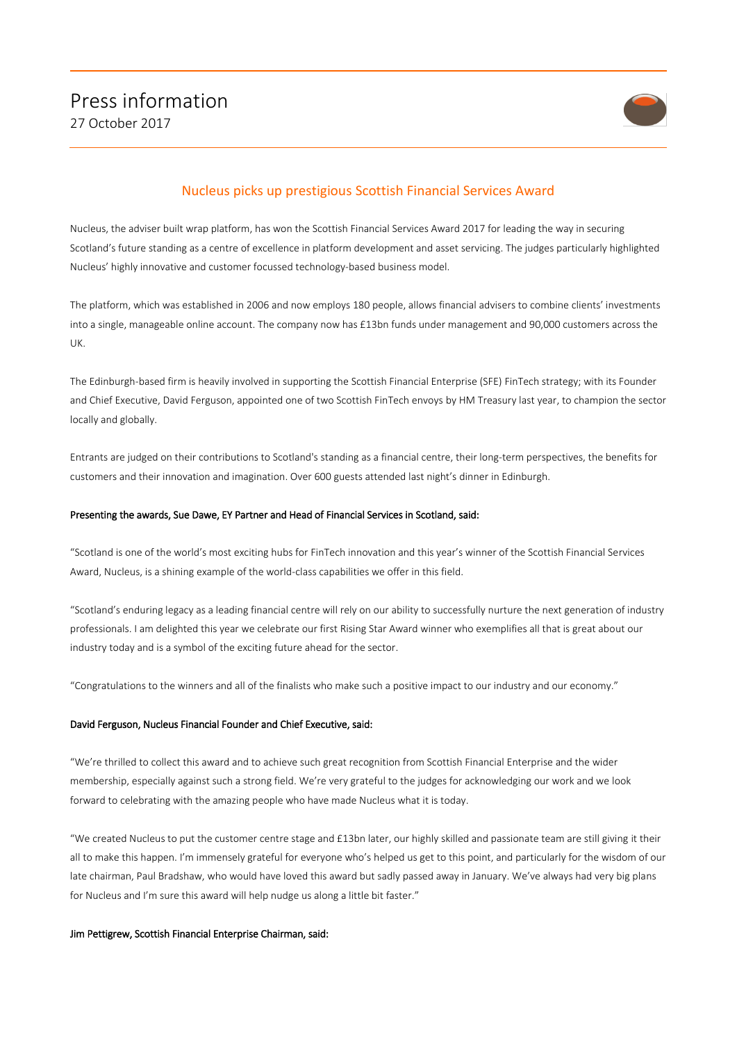

# Nucleus picks up prestigious Scottish Financial Services Award

Nucleus, the adviser built wrap platform, has won the Scottish Financial Services Award 2017 for leading the way in securing Scotland's future standing as a centre of excellence in platform development and asset servicing. The judges particularly highlighted Nucleus' highly innovative and customer focussed technology-based business model.

The platform, which was established in 2006 and now employs 180 people, allows financial advisers to combine clients' investments into a single, manageable online account. The company now has £13bn funds under management and 90,000 customers across the UK.

The Edinburgh-based firm is heavily involved in supporting the Scottish Financial Enterprise (SFE) FinTech strategy; with its Founder and Chief Executive, David Ferguson, appointed one of two Scottish FinTech envoys by HM Treasury last year, to champion the sector locally and globally.

Entrants are judged on their contributions to Scotland's standing as a financial centre, their long-term perspectives, the benefits for customers and their innovation and imagination. Over 600 guests attended last night's dinner in Edinburgh.

#### Presenting the awards, Sue Dawe, EY Partner and Head of Financial Services in Scotland, said:

"Scotland is one of the world's most exciting hubs for FinTech innovation and this year's winner of the Scottish Financial Services Award, Nucleus, is a shining example of the world-class capabilities we offer in this field.

"Scotland's enduring legacy as a leading financial centre will rely on our ability to successfully nurture the next generation of industry professionals. I am delighted this year we celebrate our first Rising Star Award winner who exemplifies all that is great about our industry today and is a symbol of the exciting future ahead for the sector.

"Congratulations to the winners and all of the finalists who make such a positive impact to our industry and our economy."

#### David Ferguson, Nucleus Financial Founder and Chief Executive, said:

"We're thrilled to collect this award and to achieve such great recognition from Scottish Financial Enterprise and the wider membership, especially against such a strong field. We're very grateful to the judges for acknowledging our work and we look forward to celebrating with the amazing people who have made Nucleus what it is today.

"We created Nucleus to put the customer centre stage and £13bn later, our highly skilled and passionate team are still giving it their all to make this happen. I'm immensely grateful for everyone who's helped us get to this point, and particularly for the wisdom of our late chairman, Paul Bradshaw, who would have loved this award but sadly passed away in January. We've always had very big plans for Nucleus and I'm sure this award will help nudge us along a little bit faster."

#### Jim Pettigrew, Scottish Financial Enterprise Chairman, said: